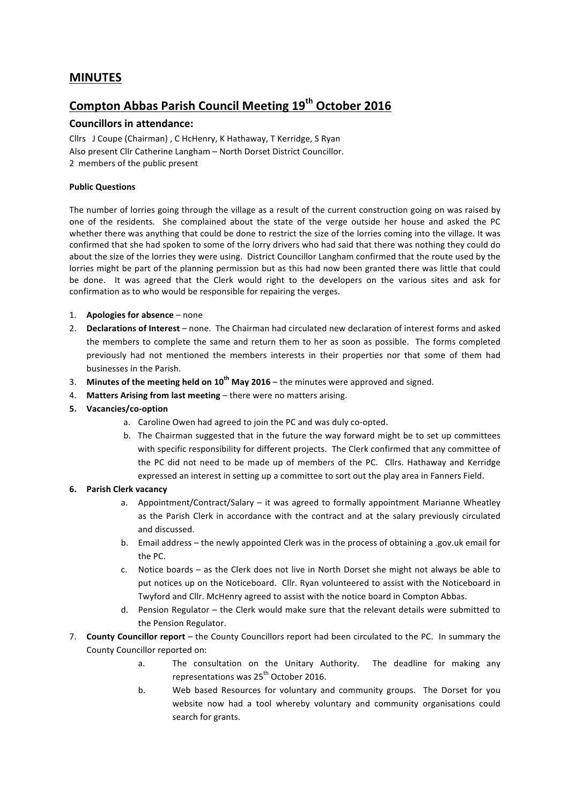# **MINUTES**

# **Compton Abbas Parish Council Meeting 19th October 2016**

# **Councillors in attendance:**

Cllrs J Coupe (Chairman) , C HcHenry, K Hathaway, T Kerridge, S Ryan Also present Cllr Catherine Langham - North Dorset District Councillor. 2 members of the public present

### **Public Questions**

The number of lorries going through the village as a result of the current construction going on was raised by one of the residents. She complained about the state of the verge outside her house and asked the PC whether there was anything that could be done to restrict the size of the lorries coming into the village. It was confirmed that she had spoken to some of the lorry drivers who had said that there was nothing they could do about the size of the lorries they were using. District Councillor Langham confirmed that the route used by the lorries might be part of the planning permission but as this had now been granted there was little that could be done. It was agreed that the Clerk would right to the developers on the various sites and ask for confirmation as to who would be responsible for repairing the verges.

- 1. **Apologies for absence** none
- 2. **Declarations of Interest** none. The Chairman had circulated new declaration of interest forms and asked the members to complete the same and return them to her as soon as possible. The forms completed previously had not mentioned the members interests in their properties nor that some of them had businesses in the Parish.
- 3. **Minutes of the meeting held on 10<sup>th</sup> May 2016** the minutes were approved and signed.
- 4. Matters Arising from last meeting there were no matters arising.
- **5. Vacancies/co-option**
	- a. Caroline Owen had agreed to join the PC and was duly co-opted.
	- b. The Chairman suggested that in the future the way forward might be to set up committees with specific responsibility for different projects. The Clerk confirmed that any committee of the PC did not need to be made up of members of the PC. Cllrs. Hathaway and Kerridge expressed an interest in setting up a committee to sort out the play area in Fanners Field.

#### **6. Parish Clerk vacancy**

- a. Appointment/Contract/Salary  $-$  it was agreed to formally appointment Marianne Wheatley as the Parish Clerk in accordance with the contract and at the salary previously circulated and discussed.
- b. Email address the newly appointed Clerk was in the process of obtaining a .gov.uk email for the PC.
- c. Notice boards as the Clerk does not live in North Dorset she might not always be able to put notices up on the Noticeboard. Cllr. Ryan volunteered to assist with the Noticeboard in Twyford and Cllr. McHenry agreed to assist with the notice board in Compton Abbas.
- d. Pension Regulator the Clerk would make sure that the relevant details were submitted to the Pension Regulator.
- 7. **County Councillor report** the County Councillors report had been circulated to the PC. In summary the County Councillor reported on:
	- a. The consultation on the Unitary Authority. The deadline for making any representations was 25<sup>th</sup> October 2016.
	- b. Web based Resources for voluntary and community groups. The Dorset for you website now had a tool whereby voluntary and community organisations could search for grants.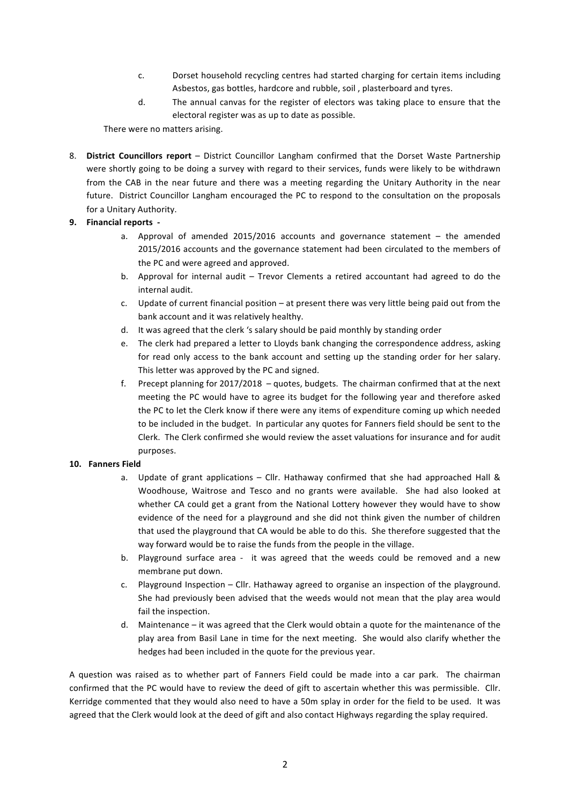- c. Dorset household recycling centres had started charging for certain items including Asbestos, gas bottles, hardcore and rubble, soil, plasterboard and tyres.
- d. The annual canvas for the register of electors was taking place to ensure that the electoral register was as up to date as possible.

There were no matters arising.

8. **District Councillors report** – District Councillor Langham confirmed that the Dorset Waste Partnership were shortly going to be doing a survey with regard to their services, funds were likely to be withdrawn from the CAB in the near future and there was a meeting regarding the Unitary Authority in the near future. District Councillor Langham encouraged the PC to respond to the consultation on the proposals for a Unitary Authority.

# **9. Financial reports -**

- a. Approval of amended  $2015/2016$  accounts and governance statement  $-$  the amended 2015/2016 accounts and the governance statement had been circulated to the members of the PC and were agreed and approved.
- b. Approval for internal audit Trevor Clements a retired accountant had agreed to do the internal audit.
- c. Update of current financial position at present there was very little being paid out from the bank account and it was relatively healthy.
- d. It was agreed that the clerk 's salary should be paid monthly by standing order
- e. The clerk had prepared a letter to Lloyds bank changing the correspondence address, asking for read only access to the bank account and setting up the standing order for her salary. This letter was approved by the PC and signed.
- f. Precept planning for  $2017/2018 -$  quotes, budgets. The chairman confirmed that at the next meeting the PC would have to agree its budget for the following year and therefore asked the PC to let the Clerk know if there were any items of expenditure coming up which needed to be included in the budget. In particular any quotes for Fanners field should be sent to the Clerk. The Clerk confirmed she would review the asset valuations for insurance and for audit purposes.

# 10. **Fanners Field**

- a. Update of grant applications Cllr. Hathaway confirmed that she had approached Hall  $\&$ Woodhouse, Waitrose and Tesco and no grants were available. She had also looked at whether CA could get a grant from the National Lottery however they would have to show evidence of the need for a playground and she did not think given the number of children that used the playground that CA would be able to do this. She therefore suggested that the way forward would be to raise the funds from the people in the village.
- b. Playground surface area it was agreed that the weeds could be removed and a new membrane put down.
- c. Playground Inspection Cllr. Hathaway agreed to organise an inspection of the playground. She had previously been advised that the weeds would not mean that the play area would fail the inspection.
- d. Maintenance it was agreed that the Clerk would obtain a quote for the maintenance of the play area from Basil Lane in time for the next meeting. She would also clarify whether the hedges had been included in the quote for the previous year.

A question was raised as to whether part of Fanners Field could be made into a car park. The chairman confirmed that the PC would have to review the deed of gift to ascertain whether this was permissible. Cllr. Kerridge commented that they would also need to have a 50m splay in order for the field to be used. It was agreed that the Clerk would look at the deed of gift and also contact Highways regarding the splay required.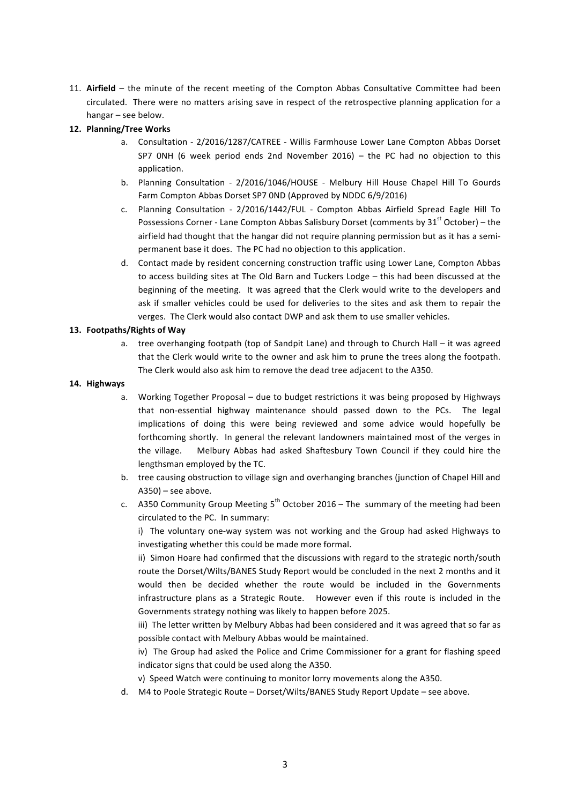11. Airfield - the minute of the recent meeting of the Compton Abbas Consultative Committee had been circulated. There were no matters arising save in respect of the retrospective planning application for a hangar – see below.

#### **12. Planning/Tree Works**

- a. Consultation 2/2016/1287/CATREE Willis Farmhouse Lower Lane Compton Abbas Dorset SP7 ONH (6 week period ends 2nd November 2016) – the PC had no objection to this application.
- b. Planning Consultation 2/2016/1046/HOUSE Melbury Hill House Chapel Hill To Gourds Farm Compton Abbas Dorset SP7 OND (Approved by NDDC 6/9/2016)
- c. Planning Consultation 2/2016/1442/FUL Compton Abbas Airfield Spread Eagle Hill To Possessions Corner - Lane Compton Abbas Salisbury Dorset (comments by  $31<sup>st</sup>$  October) – the airfield had thought that the hangar did not require planning permission but as it has a semipermanent base it does. The PC had no objection to this application.
- d. Contact made by resident concerning construction traffic using Lower Lane, Compton Abbas to access building sites at The Old Barn and Tuckers Lodge – this had been discussed at the beginning of the meeting. It was agreed that the Clerk would write to the developers and ask if smaller vehicles could be used for deliveries to the sites and ask them to repair the verges. The Clerk would also contact DWP and ask them to use smaller vehicles.

#### 13. **Footpaths/Rights of Way**

a. tree overhanging footpath (top of Sandpit Lane) and through to Church Hall – it was agreed that the Clerk would write to the owner and ask him to prune the trees along the footpath. The Clerk would also ask him to remove the dead tree adjacent to the A350.

#### **14. Highways**

- a. Working Together Proposal due to budget restrictions it was being proposed by Highways that non-essential highway maintenance should passed down to the PCs. The legal implications of doing this were being reviewed and some advice would hopefully be forthcoming shortly. In general the relevant landowners maintained most of the verges in the village. Melbury Abbas had asked Shaftesbury Town Council if they could hire the lengthsman employed by the TC.
- b. tree causing obstruction to village sign and overhanging branches (junction of Chapel Hill and  $A350$ ) – see above.
- c. A350 Community Group Meeting  $5^{th}$  October 2016 The summary of the meeting had been circulated to the PC. In summary:

i) The voluntary one-way system was not working and the Group had asked Highways to investigating whether this could be made more formal.

ii) Simon Hoare had confirmed that the discussions with regard to the strategic north/south route the Dorset/Wilts/BANES Study Report would be concluded in the next 2 months and it would then be decided whether the route would be included in the Governments infrastructure plans as a Strategic Route. However even if this route is included in the Governments strategy nothing was likely to happen before 2025.

iii) The letter written by Melbury Abbas had been considered and it was agreed that so far as possible contact with Melbury Abbas would be maintained.

iv) The Group had asked the Police and Crime Commissioner for a grant for flashing speed indicator signs that could be used along the A350.

v) Speed Watch were continuing to monitor lorry movements along the A350.

d. M4 to Poole Strategic Route – Dorset/Wilts/BANES Study Report Update – see above.